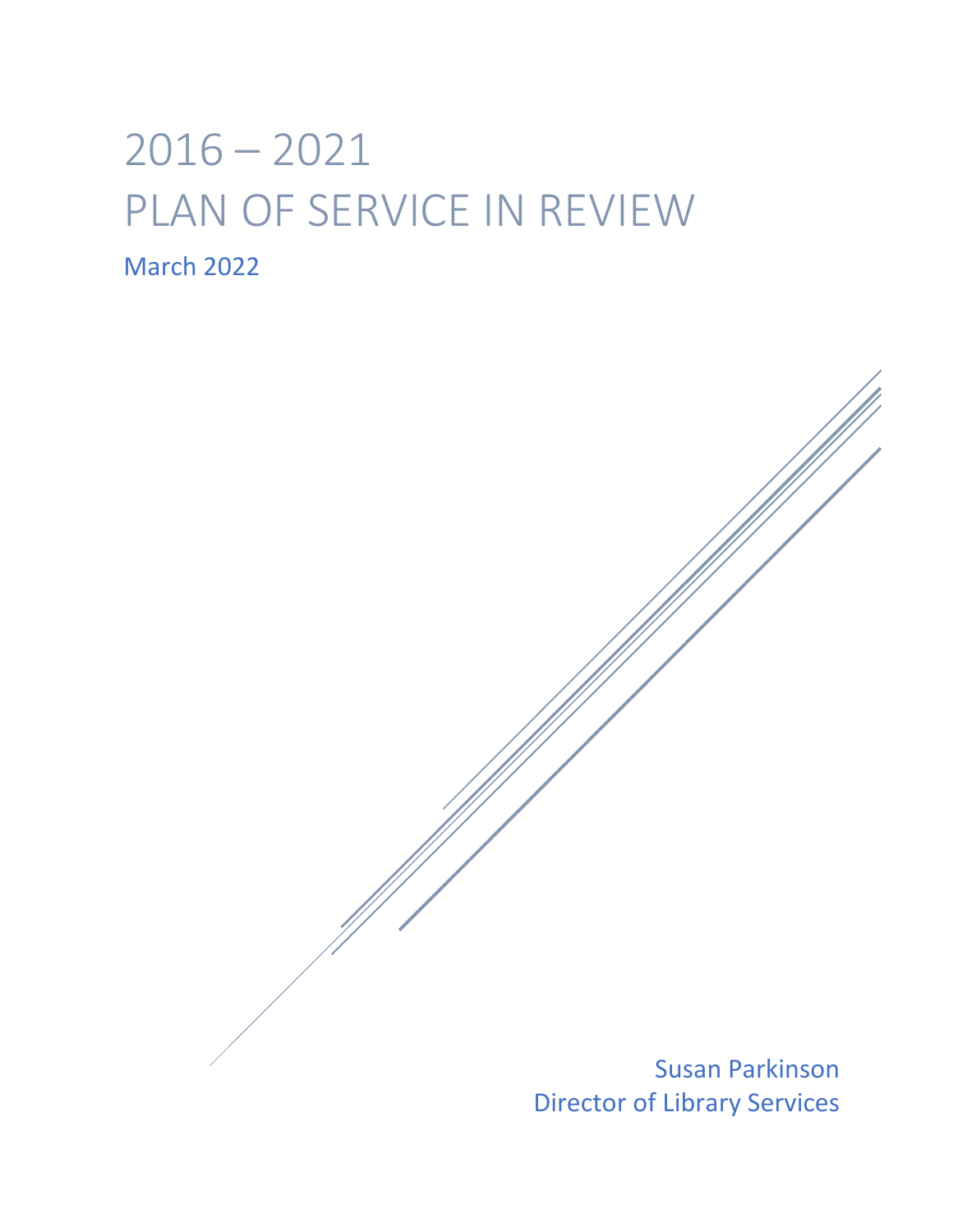# $2016 - 2021$ PLAN OF SERVICE IN REVIEW March 2022

Susan Parkinson Director of Library Services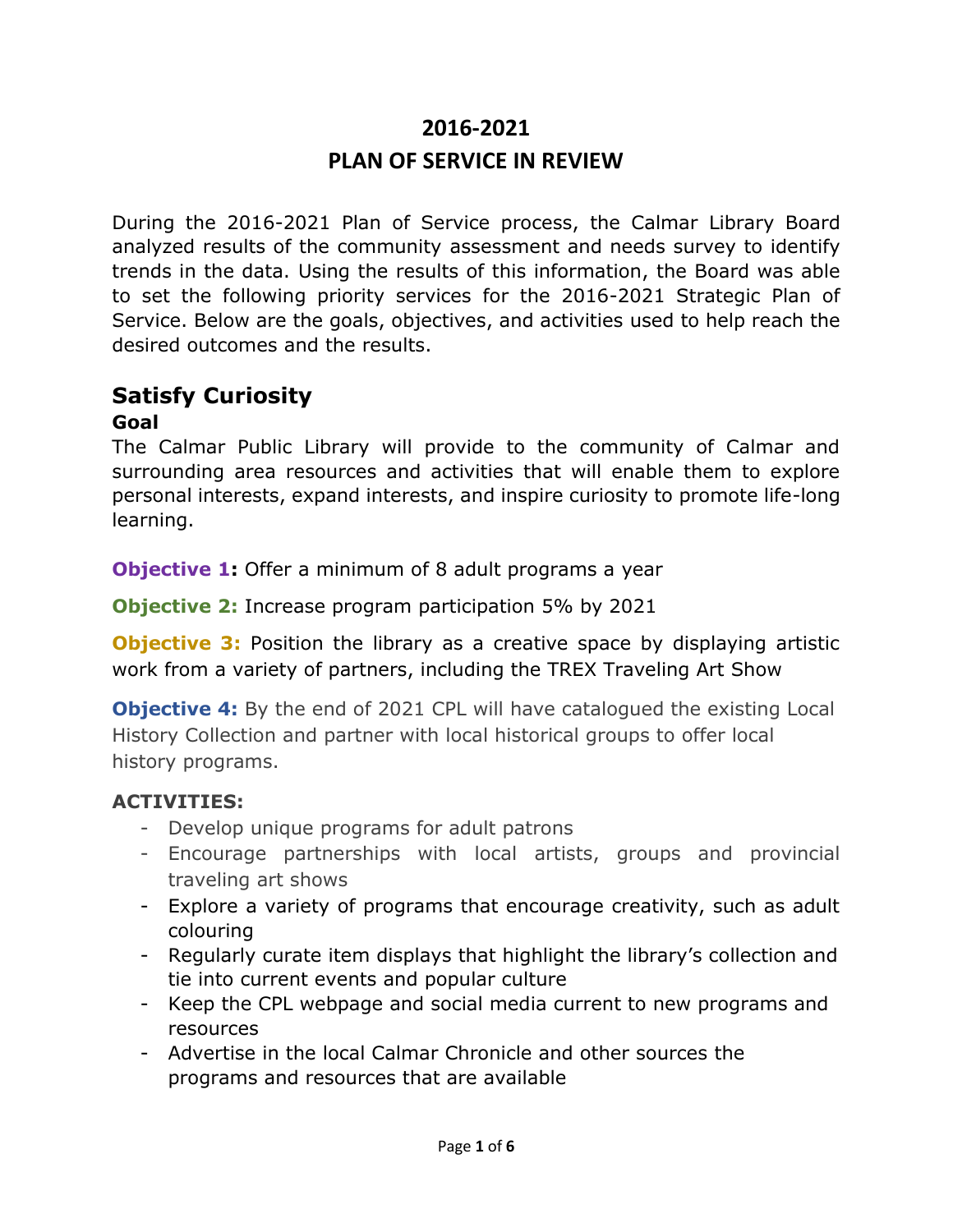# **2016-2021 PLAN OF SERVICE IN REVIEW**

During the 2016-2021 Plan of Service process, the Calmar Library Board analyzed results of the community assessment and needs survey to identify trends in the data. Using the results of this information, the Board was able to set the following priority services for the 2016-2021 Strategic Plan of Service. Below are the goals, objectives, and activities used to help reach the desired outcomes and the results.

### **Satisfy Curiosity**

#### **Goal**

The Calmar Public Library will provide to the community of Calmar and surrounding area resources and activities that will enable them to explore personal interests, expand interests, and inspire curiosity to promote life-long learning.

**Objective 1:** Offer a minimum of 8 adult programs a year

**Objective 2:** Increase program participation 5% by 2021

**Objective 3:** Position the library as a creative space by displaying artistic work from a variety of partners, including the TREX Traveling Art Show

**Objective 4:** By the end of 2021 CPL will have catalogued the existing Local History Collection and partner with local historical groups to offer local history programs.

#### **ACTIVITIES:**

- Develop unique programs for adult patrons
- Encourage partnerships with local artists, groups and provincial traveling art shows
- Explore a variety of programs that encourage creativity, such as adult colouring
- Regularly curate item displays that highlight the library's collection and tie into current events and popular culture
- Keep the CPL webpage and social media current to new programs and resources
- Advertise in the local Calmar Chronicle and other sources the programs and resources that are available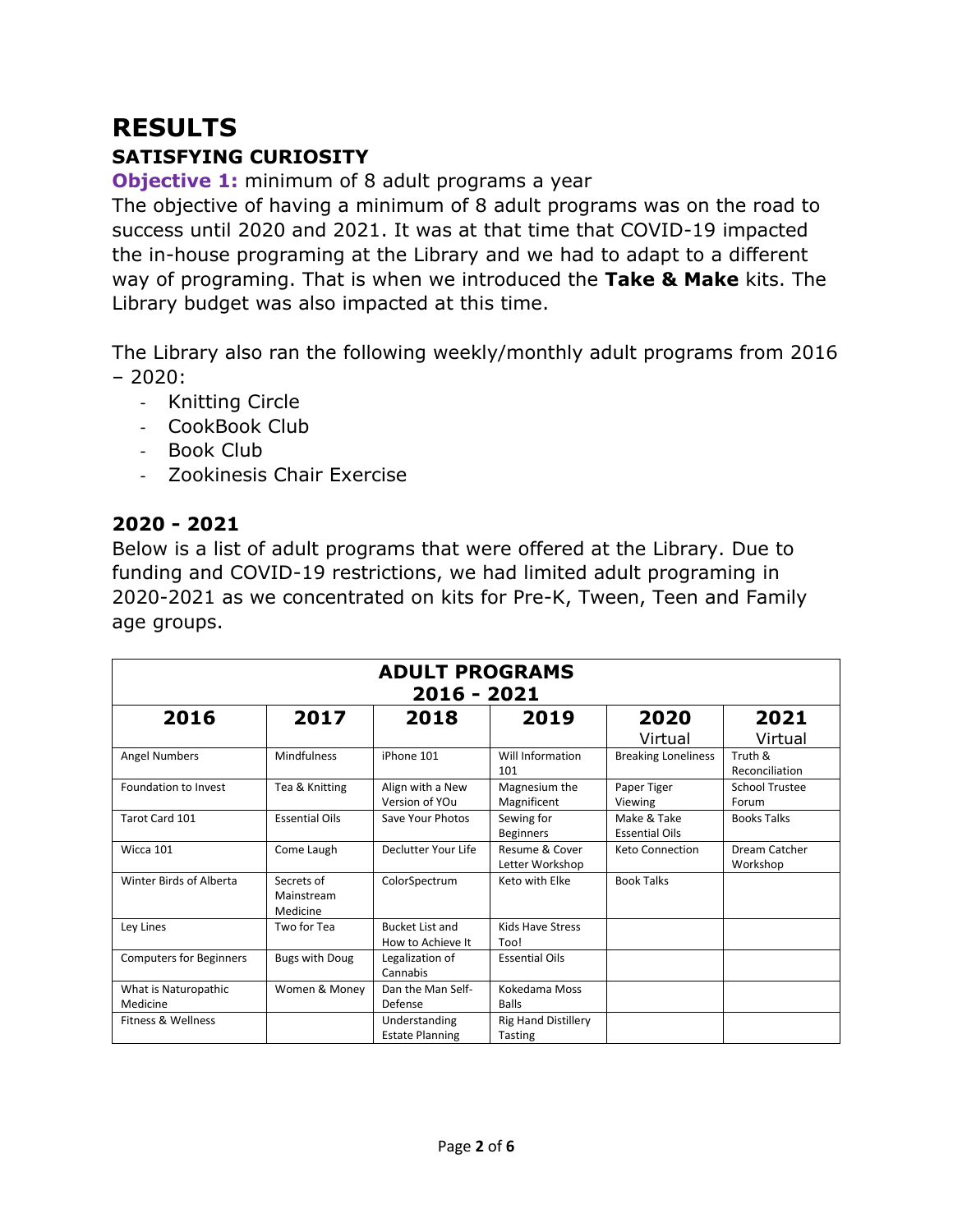## **RESULTS SATISFYING CURIOSITY**

**Objective 1:** minimum of 8 adult programs a year

The objective of having a minimum of 8 adult programs was on the road to success until 2020 and 2021. It was at that time that COVID-19 impacted the in-house programing at the Library and we had to adapt to a different way of programing. That is when we introduced the **Take & Make** kits. The Library budget was also impacted at this time.

The Library also ran the following weekly/monthly adult programs from 2016 – 2020:

- Knitting Circle
- CookBook Club
- Book Club
- Zookinesis Chair Exercise

#### **2020 - 2021**

Below is a list of adult programs that were offered at the Library. Due to funding and COVID-19 restrictions, we had limited adult programing in 2020-2021 as we concentrated on kits for Pre-K, Tween, Teen and Family age groups.

| <b>ADULT PROGRAMS</b><br>2016 - 2021 |                                      |                                             |                                       |                                      |                                |
|--------------------------------------|--------------------------------------|---------------------------------------------|---------------------------------------|--------------------------------------|--------------------------------|
| 2016                                 | 2017                                 | 2018                                        | 2019                                  | 2020<br>Virtual                      | 2021<br>Virtual                |
| <b>Angel Numbers</b>                 | <b>Mindfulness</b>                   | iPhone 101                                  | Will Information<br>101               | <b>Breaking Loneliness</b>           | Truth &<br>Reconciliation      |
| Foundation to Invest                 | Tea & Knitting                       | Align with a New<br>Version of YOu          | Magnesium the<br>Magnificent          | Paper Tiger<br>Viewing               | <b>School Trustee</b><br>Forum |
| Tarot Card 101                       | <b>Essential Oils</b>                | Save Your Photos                            | Sewing for<br><b>Beginners</b>        | Make & Take<br><b>Essential Oils</b> | <b>Books Talks</b>             |
| Wicca 101                            | Come Laugh                           | Declutter Your Life                         | Resume & Cover<br>Letter Workshop     | <b>Keto Connection</b>               | Dream Catcher<br>Workshop      |
| Winter Birds of Alberta              | Secrets of<br>Mainstream<br>Medicine | ColorSpectrum                               | Keto with Elke                        | <b>Book Talks</b>                    |                                |
| Ley Lines                            | Two for Tea                          | <b>Bucket List and</b><br>How to Achieve It | <b>Kids Have Stress</b><br>Too!       |                                      |                                |
| <b>Computers for Beginners</b>       | <b>Bugs with Doug</b>                | Legalization of<br>Cannabis                 | <b>Essential Oils</b>                 |                                      |                                |
| What is Naturopathic<br>Medicine     | Women & Money                        | Dan the Man Self-<br>Defense                | Kokedama Moss<br><b>Balls</b>         |                                      |                                |
| Fitness & Wellness                   |                                      | Understanding<br><b>Estate Planning</b>     | <b>Rig Hand Distillery</b><br>Tasting |                                      |                                |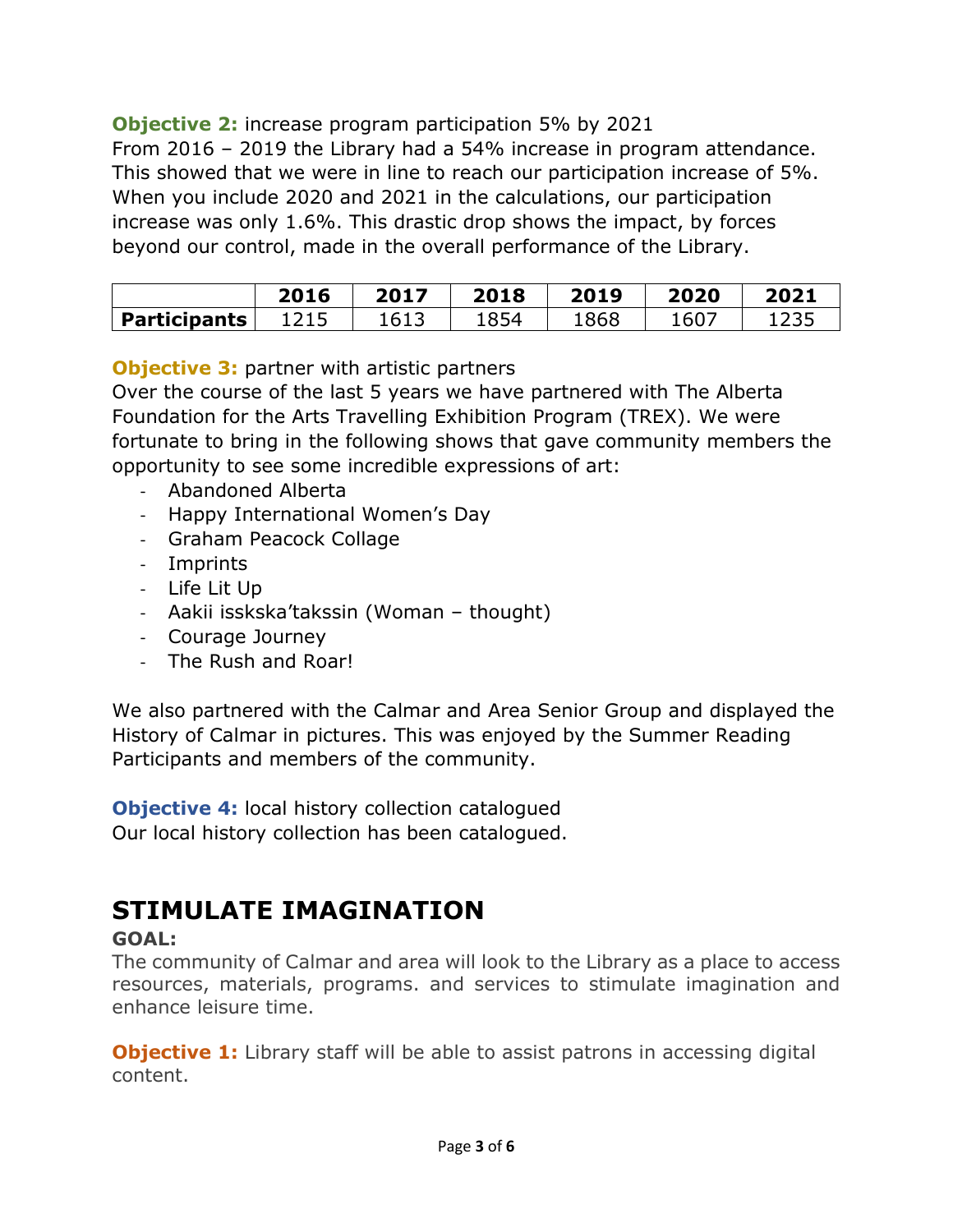#### **Objective 2:** increase program participation 5% by 2021

From 2016 – 2019 the Library had a 54% increase in program attendance. This showed that we were in line to reach our participation increase of 5%. When you include 2020 and 2021 in the calculations, our participation increase was only 1.6%. This drastic drop shows the impact, by forces beyond our control, made in the overall performance of the Library.

|                     | 2016            | 2017 | 2018 | 2019 | 2020 | 2021         |
|---------------------|-----------------|------|------|------|------|--------------|
| <b>Participants</b> | 1 つ 1 に<br>ᆂᄼᅩᇰ | 1613 | 1854 | 1868 | 1607 | ヨウマロ<br>ᆂᄼᇰᇰ |

#### **Objective 3: partner with artistic partners**

Over the course of the last 5 years we have partnered with The Alberta Foundation for the Arts Travelling Exhibition Program (TREX). We were fortunate to bring in the following shows that gave community members the opportunity to see some incredible expressions of art:

- Abandoned Alberta
- Happy International Women's Day
- Graham Peacock Collage
- Imprints
- Life Lit Up
- Aakii isskska'takssin (Woman thought)
- Courage Journey
- The Rush and Roar!

We also partnered with the Calmar and Area Senior Group and displayed the History of Calmar in pictures. This was enjoyed by the Summer Reading Participants and members of the community.

**Objective 4:** local history collection catalogued Our local history collection has been catalogued.

## **STIMULATE IMAGINATION**

#### **GOAL:**

The community of Calmar and area will look to the Library as a place to access resources, materials, programs. and services to stimulate imagination and enhance leisure time.

**Objective 1:** Library staff will be able to assist patrons in accessing digital content.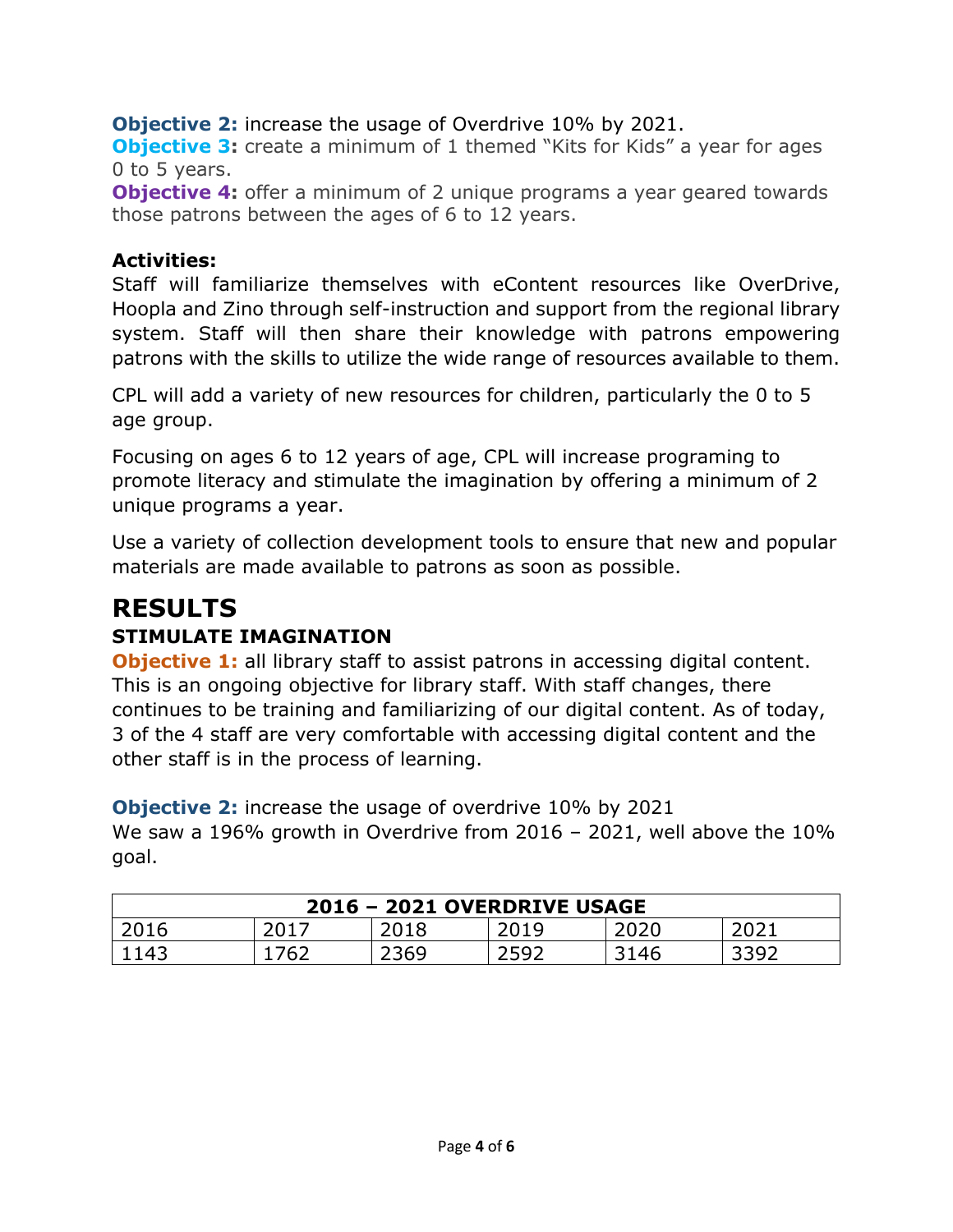**Objective 2:** increase the usage of Overdrive 10% by 2021.

**Objective 3:** create a minimum of 1 themed "Kits for Kids" a year for ages 0 to 5 years.

**Objective 4:** offer a minimum of 2 unique programs a year geared towards those patrons between the ages of 6 to 12 years.

#### **Activities:**

Staff will familiarize themselves with eContent resources like OverDrive, Hoopla and Zino through self-instruction and support from the regional library system. Staff will then share their knowledge with patrons empowering patrons with the skills to utilize the wide range of resources available to them.

CPL will add a variety of new resources for children, particularly the 0 to 5 age group.

Focusing on ages 6 to 12 years of age, CPL will increase programing to promote literacy and stimulate the imagination by offering a minimum of 2 unique programs a year.

Use a variety of collection development tools to ensure that new and popular materials are made available to patrons as soon as possible.

## **RESULTS STIMULATE IMAGINATION**

**Objective 1:** all library staff to assist patrons in accessing digital content. This is an ongoing objective for library staff. With staff changes, there continues to be training and familiarizing of our digital content. As of today, 3 of the 4 staff are very comfortable with accessing digital content and the other staff is in the process of learning.

**Objective 2:** increase the usage of overdrive 10% by 2021 We saw a 196% growth in Overdrive from 2016 - 2021, well above the 10% goal.

| 2016 - 2021 OVERDRIVE USAGE |      |      |               |      |             |
|-----------------------------|------|------|---------------|------|-------------|
| 2016                        | 201. | 2018 | 2019          | 2020 |             |
| 1143                        | .762 | 2369 | -2593<br>とつうと | 3146 | ふろひ<br>ココンム |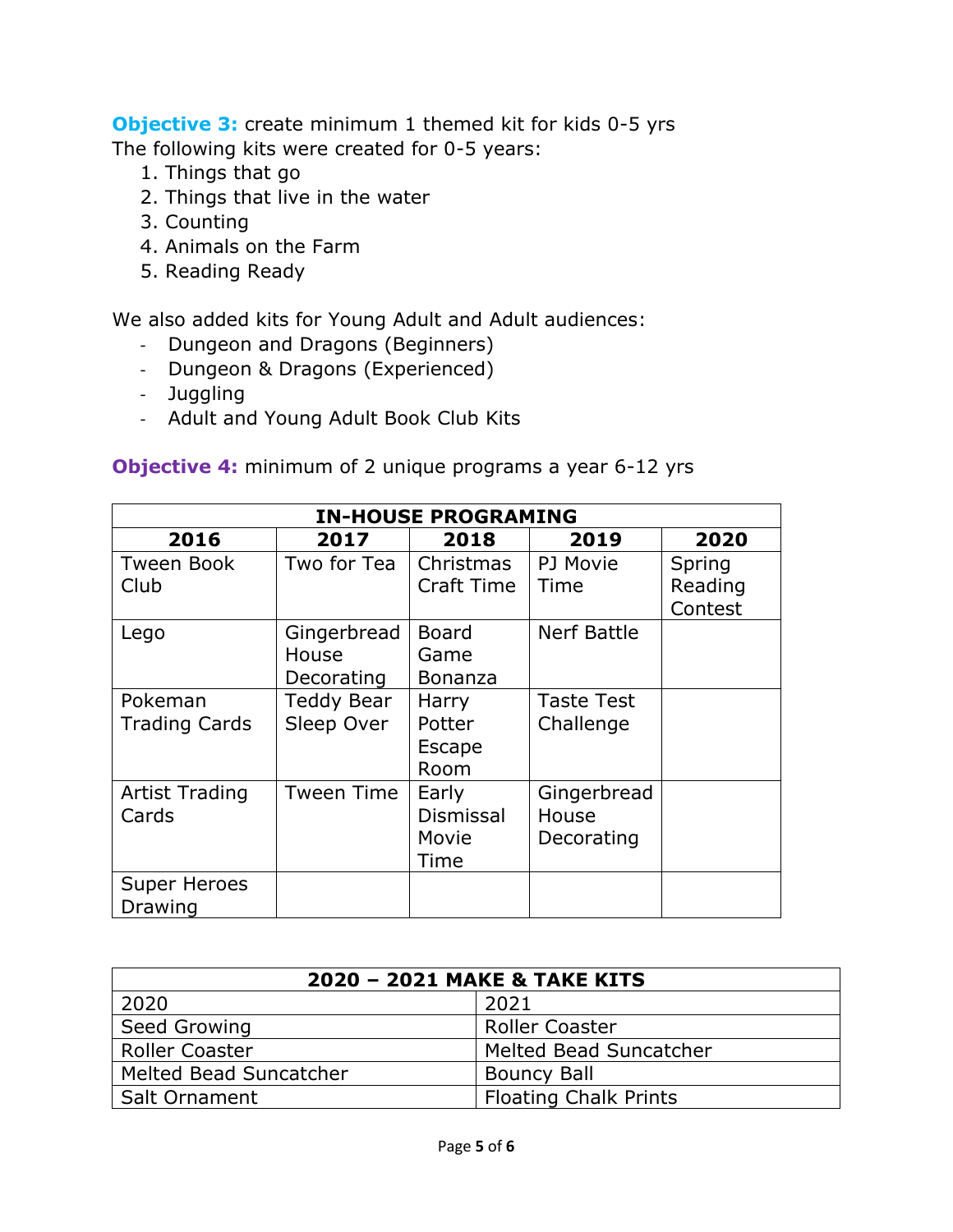**Objective 3:** create minimum 1 themed kit for kids 0-5 yrs The following kits were created for 0-5 years:

- 1. Things that go
- 2. Things that live in the water
- 3. Counting
- 4. Animals on the Farm
- 5. Reading Ready

We also added kits for Young Adult and Adult audiences:

- Dungeon and Dragons (Beginners)
- Dungeon & Dragons (Experienced)
- Juggling
- Adult and Young Adult Book Club Kits

**Objective 4:** minimum of 2 unique programs a year 6-12 yrs

| <b>IN-HOUSE PROGRAMING</b> |                   |                |                   |         |
|----------------------------|-------------------|----------------|-------------------|---------|
| 2016                       | 2017              | 2018           | 2019              | 2020    |
| <b>Tween Book</b>          | Two for Tea       | Christmas      | PJ Movie          | Spring  |
| Club                       |                   | Craft Time     | Time              | Reading |
|                            |                   |                |                   | Contest |
| Lego                       | Gingerbread       | <b>Board</b>   | Nerf Battle       |         |
|                            | House             | Game           |                   |         |
|                            | Decorating        | <b>Bonanza</b> |                   |         |
| Pokeman                    | Teddy Bear        | Harry          | <b>Taste Test</b> |         |
| <b>Trading Cards</b>       | Sleep Over        | Potter         | Challenge         |         |
|                            |                   | Escape         |                   |         |
|                            |                   | Room           |                   |         |
| <b>Artist Trading</b>      | <b>Tween Time</b> | Early          | Gingerbread       |         |
| Cards                      |                   | Dismissal      | House             |         |
|                            |                   | Movie          | Decorating        |         |
|                            |                   | Time           |                   |         |
| <b>Super Heroes</b>        |                   |                |                   |         |
| Drawing                    |                   |                |                   |         |

| 2020 - 2021 MAKE & TAKE KITS |                              |  |  |
|------------------------------|------------------------------|--|--|
| 2020                         | 2021                         |  |  |
| Seed Growing                 | <b>Roller Coaster</b>        |  |  |
| <b>Roller Coaster</b>        | Melted Bead Suncatcher       |  |  |
| Melted Bead Suncatcher       | <b>Bouncy Ball</b>           |  |  |
| Salt Ornament                | <b>Floating Chalk Prints</b> |  |  |